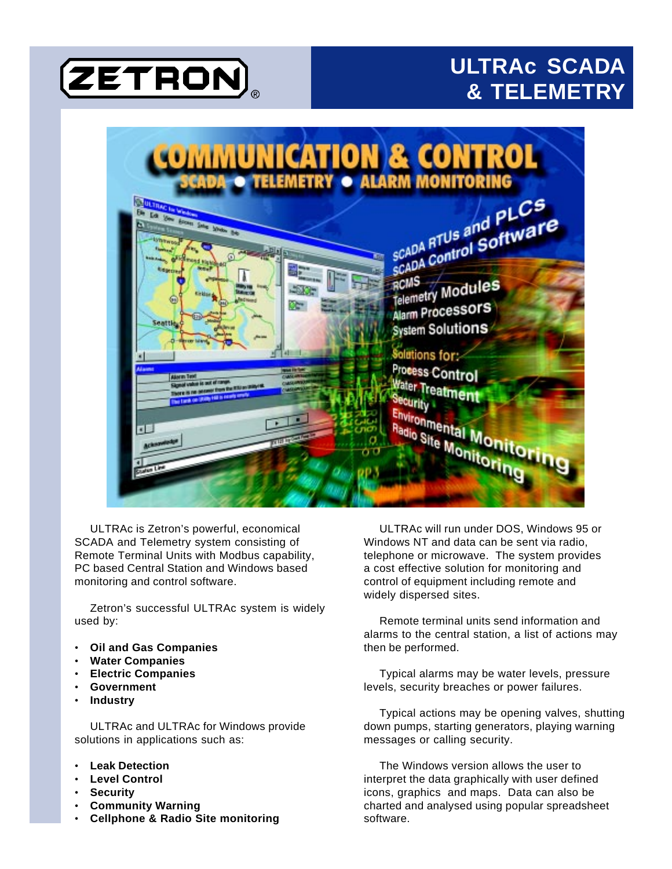# **(ZETRON)**

# **ULTRAc SCADA & TELEMETRY**



ULTRAc is Zetron's powerful, economical SCADA and Telemetry system consisting of Remote Terminal Units with Modbus capability, PC based Central Station and Windows based monitoring and control software.

Zetron's successful ULTRAc system is widely used by:

- **Oil and Gas Companies**
- **Water Companies**
- **Electric Companies**
- **Government**
- **Industry**

ULTRAc and ULTRAc for Windows provide solutions in applications such as:

- **Leak Detection**
- **Level Control**
- **Security**
- **Community Warning**
- **Cellphone & Radio Site monitoring**

ULTRAc will run under DOS, Windows 95 or Windows NT and data can be sent via radio, telephone or microwave. The system provides a cost effective solution for monitoring and control of equipment including remote and widely dispersed sites.

Remote terminal units send information and alarms to the central station, a list of actions may then be performed.

Typical alarms may be water levels, pressure levels, security breaches or power failures.

Typical actions may be opening valves, shutting down pumps, starting generators, playing warning messages or calling security.

The Windows version allows the user to interpret the data graphically with user defined icons, graphics and maps. Data can also be charted and analysed using popular spreadsheet software.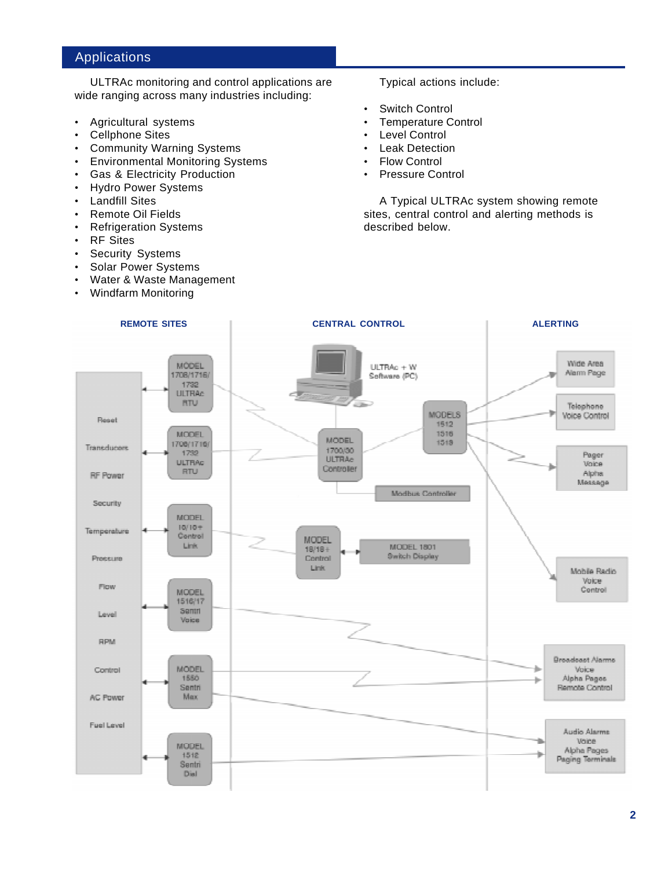# Applications

ULTRAc monitoring and control applications are wide ranging across many industries including:

- Agricultural systems
- Cellphone Sites
- Community Warning Systems
- Environmental Monitoring Systems
- Gas & Electricity Production
- Hydro Power Systems
- **Landfill Sites**
- Remote Oil Fields
- Refrigeration Systems
- RF Sites
- Security Systems
- Solar Power Systems
- Water & Waste Management
- Windfarm Monitoring

Typical actions include:

- Switch Control
- Temperature Control
- Level Control
- **Leak Detection**
- **Flow Control**
- Pressure Control

A Typical ULTRAc system showing remote sites, central control and alerting methods is described below.

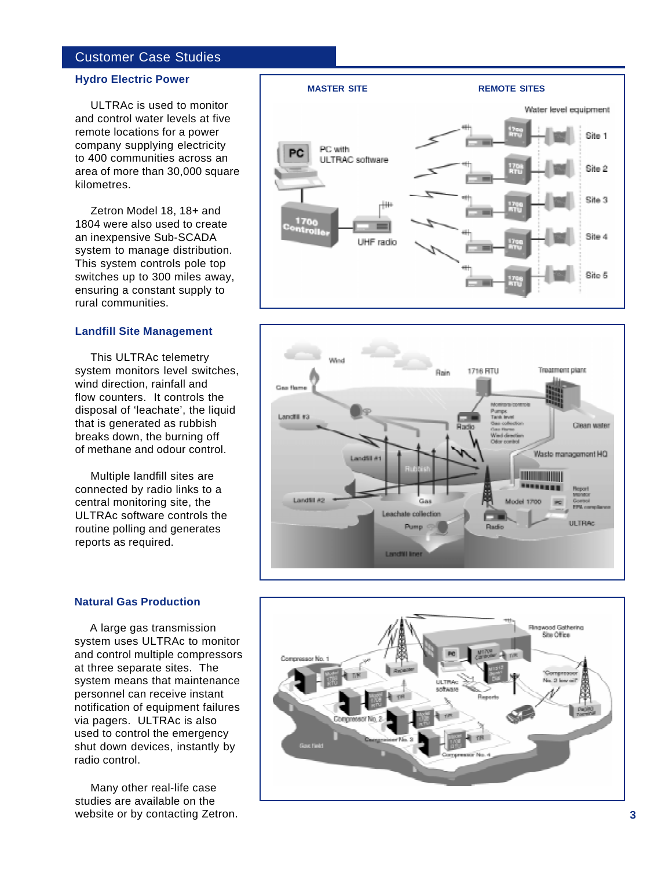# Customer Case Studies

# **Hydro Electric Power**

ULTRAc is used to monitor and control water levels at five remote locations for a power company supplying electricity to 400 communities across an area of more than 30,000 square kilometres.

Zetron Model 18, 18+ and 1804 were also used to create an inexpensive Sub-SCADA system to manage distribution. This system controls pole top switches up to 300 miles away, ensuring a constant supply to rural communities.

# **Landfill Site Management**

This ULTRAc telemetry system monitors level switches, wind direction, rainfall and flow counters. It controls the disposal of 'leachate', the liquid that is generated as rubbish breaks down, the burning off of methane and odour control.

Multiple landfill sites are connected by radio links to a central monitoring site, the ULTRAc software controls the routine polling and generates reports as required.



A large gas transmission system uses ULTRAc to monitor and control multiple compressors at three separate sites. The system means that maintenance personnel can receive instant notification of equipment failures via pagers. ULTRAc is also used to control the emergency shut down devices, instantly by radio control.

Many other real-life case studies are available on the website or by contacting Zetron.





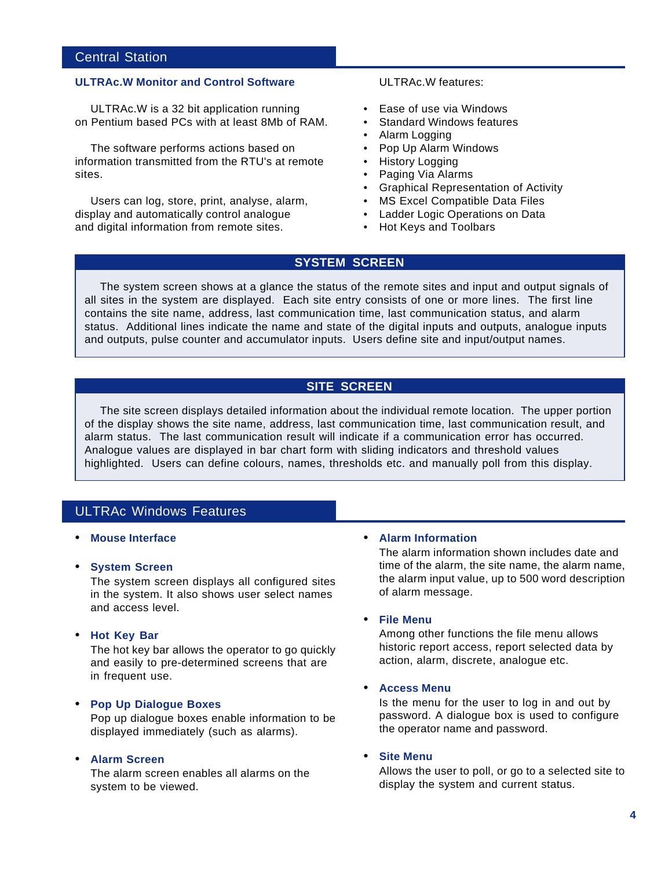# Central Station

# **ULTRAc.W Monitor and Control Software**

ULTRAc.W is a 32 bit application running on Pentium based PCs with at least 8Mb of RAM.

The software performs actions based on information transmitted from the RTU's at remote sites.

Users can log, store, print, analyse, alarm, display and automatically control analogue and digital information from remote sites.

ULTRAc.W features:

- Ease of use via Windows
- Standard Windows features
- Alarm Logging
- Pop Up Alarm Windows
- History Logging
- Paging Via Alarms
- Graphical Representation of Activity
- MS Excel Compatible Data Files
- Ladder Logic Operations on Data
- Hot Keys and Toolbars

# **SYSTEM SCREEN**

The system screen shows at a glance the status of the remote sites and input and output signals of all sites in the system are displayed. Each site entry consists of one or more lines. The first line contains the site name, address, last communication time, last communication status, and alarm status. Additional lines indicate the name and state of the digital inputs and outputs, analogue inputs and outputs, pulse counter and accumulator inputs. Users define site and input/output names.

# **SITE SCREEN**

The site screen displays detailed information about the individual remote location. The upper portion of the display shows the site name, address, last communication time, last communication result, and alarm status. The last communication result will indicate if a communication error has occurred. Analogue values are displayed in bar chart form with sliding indicators and threshold values highlighted. Users can define colours, names, thresholds etc. and manually poll from this display.

# ULTRAc Windows Features

# • **Mouse Interface**

• **System Screen**

The system screen displays all configured sites in the system. It also shows user select names and access level.

• **Hot Key Bar**

The hot key bar allows the operator to go quickly and easily to pre-determined screens that are in frequent use.

# • **Pop Up Dialogue Boxes**

Pop up dialogue boxes enable information to be displayed immediately (such as alarms).

# • **Alarm Screen**

The alarm screen enables all alarms on the system to be viewed.

# • **Alarm Information**

The alarm information shown includes date and time of the alarm, the site name, the alarm name, the alarm input value, up to 500 word description of alarm message.

#### • **File Menu**

Among other functions the file menu allows historic report access, report selected data by action, alarm, discrete, analogue etc.

# • **Access Menu**

Is the menu for the user to log in and out by password. A dialogue box is used to configure the operator name and password.

#### **Site Menu**

Allows the user to poll, or go to a selected site to display the system and current status.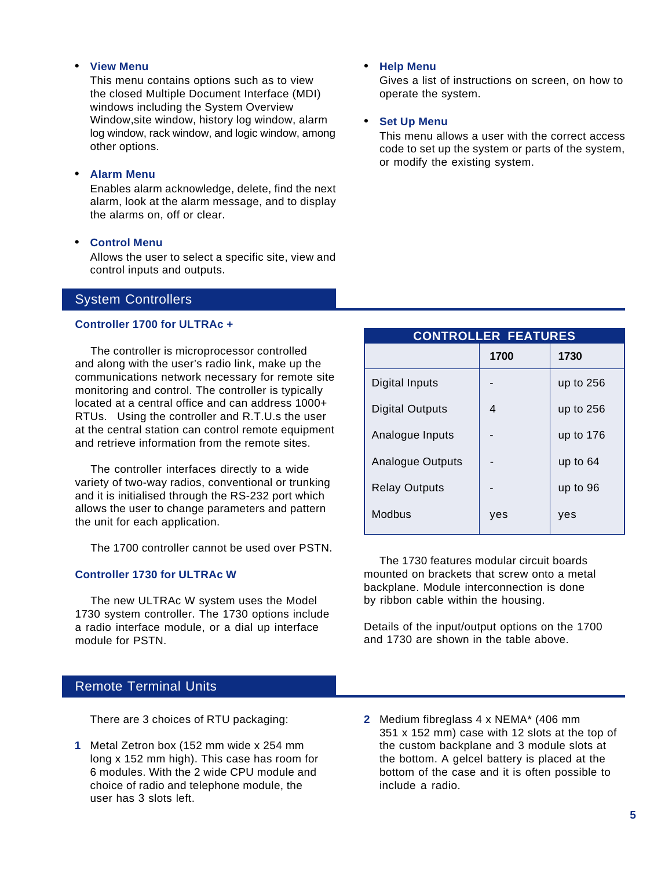#### • **View Menu**

This menu contains options such as to view the closed Multiple Document Interface (MDI) windows including the System Overview Window,site window, history log window, alarm log window, rack window, and logic window, among other options.

# • **Alarm Menu**

Enables alarm acknowledge, delete, find the next alarm, look at the alarm message, and to display the alarms on, off or clear.

# • **Control Menu**

Allows the user to select a specific site, view and control inputs and outputs.

# System Controllers

#### **Controller 1700 for ULTRAc +**

The controller is microprocessor controlled and along with the user's radio link, make up the communications network necessary for remote site monitoring and control. The controller is typically located at a central office and can address 1000+ RTUs. Using the controller and R.T.U.s the user at the central station can control remote equipment and retrieve information from the remote sites.

The controller interfaces directly to a wide variety of two-way radios, conventional or trunking and it is initialised through the RS-232 port which allows the user to change parameters and pattern the unit for each application.

The 1700 controller cannot be used over PSTN.

# **Controller 1730 for ULTRAc W**

The new ULTRAc W system uses the Model 1730 system controller. The 1730 options include a radio interface module, or a dial up interface module for PSTN.

# Remote Terminal Units

There are 3 choices of RTU packaging:

**1** Metal Zetron box (152 mm wide x 254 mm long x 152 mm high). This case has room for 6 modules. With the 2 wide CPU module and choice of radio and telephone module, the user has 3 slots left.

• **Help Menu**

Gives a list of instructions on screen, on how to operate the system.

#### • **Set Up Menu**

This menu allows a user with the correct access code to set up the system or parts of the system, or modify the existing system.

| <b>CONTROLLER FEATURES</b> |      |             |  |  |
|----------------------------|------|-------------|--|--|
|                            | 1700 | 1730        |  |  |
| Digital Inputs             |      | up to $256$ |  |  |
| <b>Digital Outputs</b>     | 4    | up to $256$ |  |  |
| Analogue Inputs            |      | up to $176$ |  |  |
| <b>Analogue Outputs</b>    |      | up to $64$  |  |  |
| <b>Relay Outputs</b>       |      | up to 96    |  |  |
| Modbus                     | yes  | yes         |  |  |

The 1730 features modular circuit boards mounted on brackets that screw onto a metal backplane. Module interconnection is done by ribbon cable within the housing.

Details of the input/output options on the 1700 and 1730 are shown in the table above.

**2** Medium fibreglass 4 x NEMA\* (406 mm 351 x 152 mm) case with 12 slots at the top of the custom backplane and 3 module slots at the bottom. A gelcel battery is placed at the bottom of the case and it is often possible to include a radio.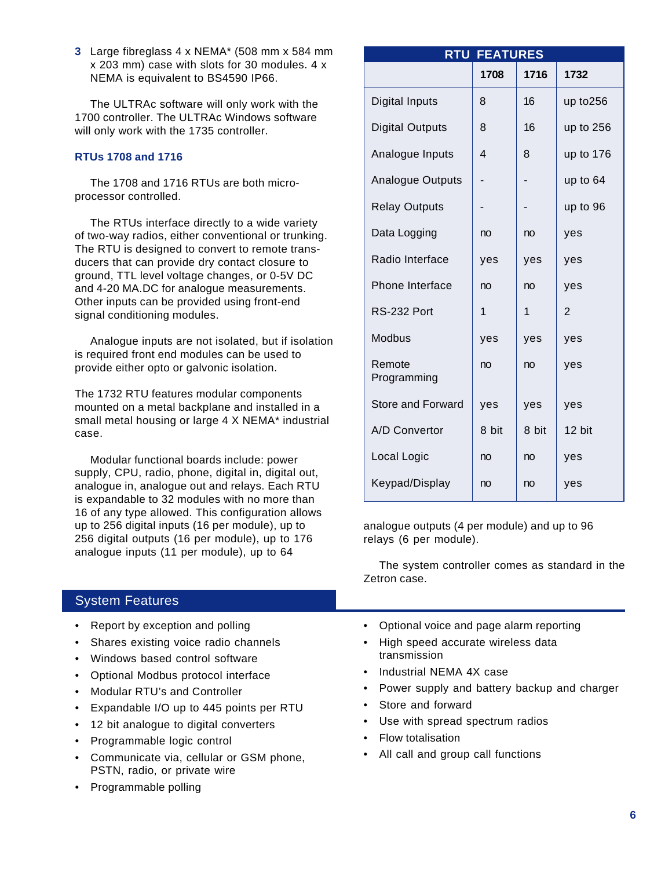**3** Large fibreglass 4 x NEMA\* (508 mm x 584 mm x 203 mm) case with slots for 30 modules. 4 x NEMA is equivalent to BS4590 IP66.

The ULTRAc software will only work with the 1700 controller. The ULTRAc Windows software will only work with the 1735 controller.

# **RTUs 1708 and 1716**

The 1708 and 1716 RTUs are both microprocessor controlled.

The RTUs interface directly to a wide variety of two-way radios, either conventional or trunking. The RTU is designed to convert to remote transducers that can provide dry contact closure to ground, TTL level voltage changes, or 0-5V DC and 4-20 MA.DC for analogue measurements. Other inputs can be provided using front-end signal conditioning modules.

Analogue inputs are not isolated, but if isolation is required front end modules can be used to provide either opto or galvonic isolation.

The 1732 RTU features modular components mounted on a metal backplane and installed in a small metal housing or large 4 X NEMA\* industrial case.

Modular functional boards include: power supply, CPU, radio, phone, digital in, digital out, analogue in, analogue out and relays. Each RTU is expandable to 32 modules with no more than 16 of any type allowed. This configuration allows up to 256 digital inputs (16 per module), up to 256 digital outputs (16 per module), up to 176 analogue inputs (11 per module), up to 64

# System Features

- Report by exception and polling
- Shares existing voice radio channels
- Windows based control software
- Optional Modbus protocol interface
- Modular RTU's and Controller
- Expandable I/O up to 445 points per RTU
- 12 bit analogue to digital converters
- Programmable logic control
- Communicate via, cellular or GSM phone, PSTN, radio, or private wire
- Programmable polling

| <b>RTU FEATURES</b>      |       |       |                |  |
|--------------------------|-------|-------|----------------|--|
|                          | 1708  | 1716  | 1732           |  |
| Digital Inputs           | 8     | 16    | up to256       |  |
| <b>Digital Outputs</b>   | 8     | 16    | up to 256      |  |
| Analogue Inputs          | 4     | 8     | up to 176      |  |
| Analogue Outputs         |       |       | up to 64       |  |
| <b>Relay Outputs</b>     |       |       | up to 96       |  |
| Data Logging             | no    | no    | yes            |  |
| Radio Interface          | yes   | yes   | yes            |  |
| Phone Interface          | no    | no    | yes            |  |
| RS-232 Port              | 1     | 1     | $\overline{2}$ |  |
| Modbus                   | yes   | yes   | yes            |  |
| Remote<br>Programming    | no    | no    | yes            |  |
| <b>Store and Forward</b> | yes   | yes   | yes            |  |
| A/D Convertor            | 8 bit | 8 bit | 12 bit         |  |
| Local Logic              | no    | no    | yes            |  |
| Keypad/Display           | no    | no    | yes            |  |

analogue outputs (4 per module) and up to 96 relays (6 per module).

The system controller comes as standard in the Zetron case.

- Optional voice and page alarm reporting
- High speed accurate wireless data transmission
- Industrial NEMA 4X case
- Power supply and battery backup and charger
- Store and forward
- Use with spread spectrum radios
- Flow totalisation
- All call and group call functions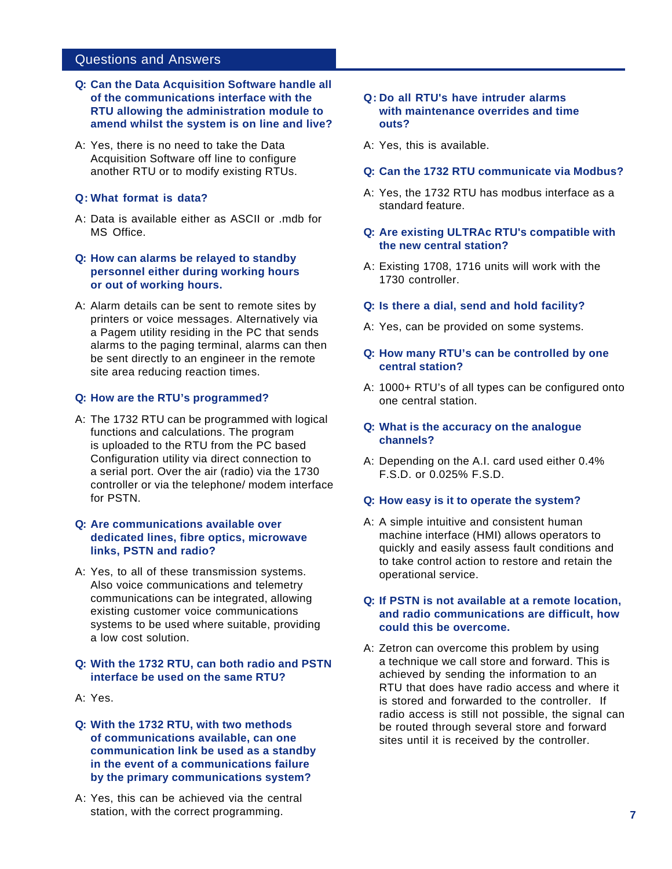# Questions and Answers

- **Q: Can the Data Acquisition Software handle all of the communications interface with the RTU allowing the administration module to amend whilst the system is on line and live?**
- A: Yes, there is no need to take the Data Acquisition Software off line to configure another RTU or to modify existing RTUs.

# **Q: What format is data?**

- A: Data is available either as ASCII or .mdb for MS Office.
- **Q: How can alarms be relayed to standby personnel either during working hours or out of working hours.**
- A: Alarm details can be sent to remote sites by printers or voice messages. Alternatively via a Pagem utility residing in the PC that sends alarms to the paging terminal, alarms can then be sent directly to an engineer in the remote site area reducing reaction times.

# **Q: How are the RTU's programmed?**

A: The 1732 RTU can be programmed with logical functions and calculations. The program is uploaded to the RTU from the PC based Configuration utility via direct connection to a serial port. Over the air (radio) via the 1730 controller or via the telephone/ modem interface for PSTN.

# **Q: Are communications available over dedicated lines, fibre optics, microwave links, PSTN and radio?**

A: Yes, to all of these transmission systems. Also voice communications and telemetry communications can be integrated, allowing existing customer voice communications systems to be used where suitable, providing a low cost solution.

# **Q: With the 1732 RTU, can both radio and PSTN interface be used on the same RTU?**

- A: Yes.
- **Q: With the 1732 RTU, with two methods of communications available, can one communication link be used as a standby in the event of a communications failure by the primary communications system?**
- A: Yes, this can be achieved via the central station, with the correct programming.
- **Q: Do all RTU's have intruder alarms with maintenance overrides and time outs?**
- A: Yes, this is available.

# **Q: Can the 1732 RTU communicate via Modbus?**

A: Yes, the 1732 RTU has modbus interface as a standard feature.

# **Q: Are existing ULTRAc RTU's compatible with the new central station?**

A: Existing 1708, 1716 units will work with the 1730 controller.

# **Q: Is there a dial, send and hold facility?**

A: Yes, can be provided on some systems.

# **Q: How many RTU's can be controlled by one central station?**

A: 1000+ RTU's of all types can be configured onto one central station.

# **Q: What is the accuracy on the analogue channels?**

A: Depending on the A.I. card used either 0.4% F.S.D. or 0.025% F.S.D.

# **Q: How easy is it to operate the system?**

A: A simple intuitive and consistent human machine interface (HMI) allows operators to quickly and easily assess fault conditions and to take control action to restore and retain the operational service.

# **Q: If PSTN is not available at a remote location, and radio communications are difficult, how could this be overcome.**

A: Zetron can overcome this problem by using a technique we call store and forward. This is achieved by sending the information to an RTU that does have radio access and where it is stored and forwarded to the controller. If radio access is still not possible, the signal can be routed through several store and forward sites until it is received by the controller.